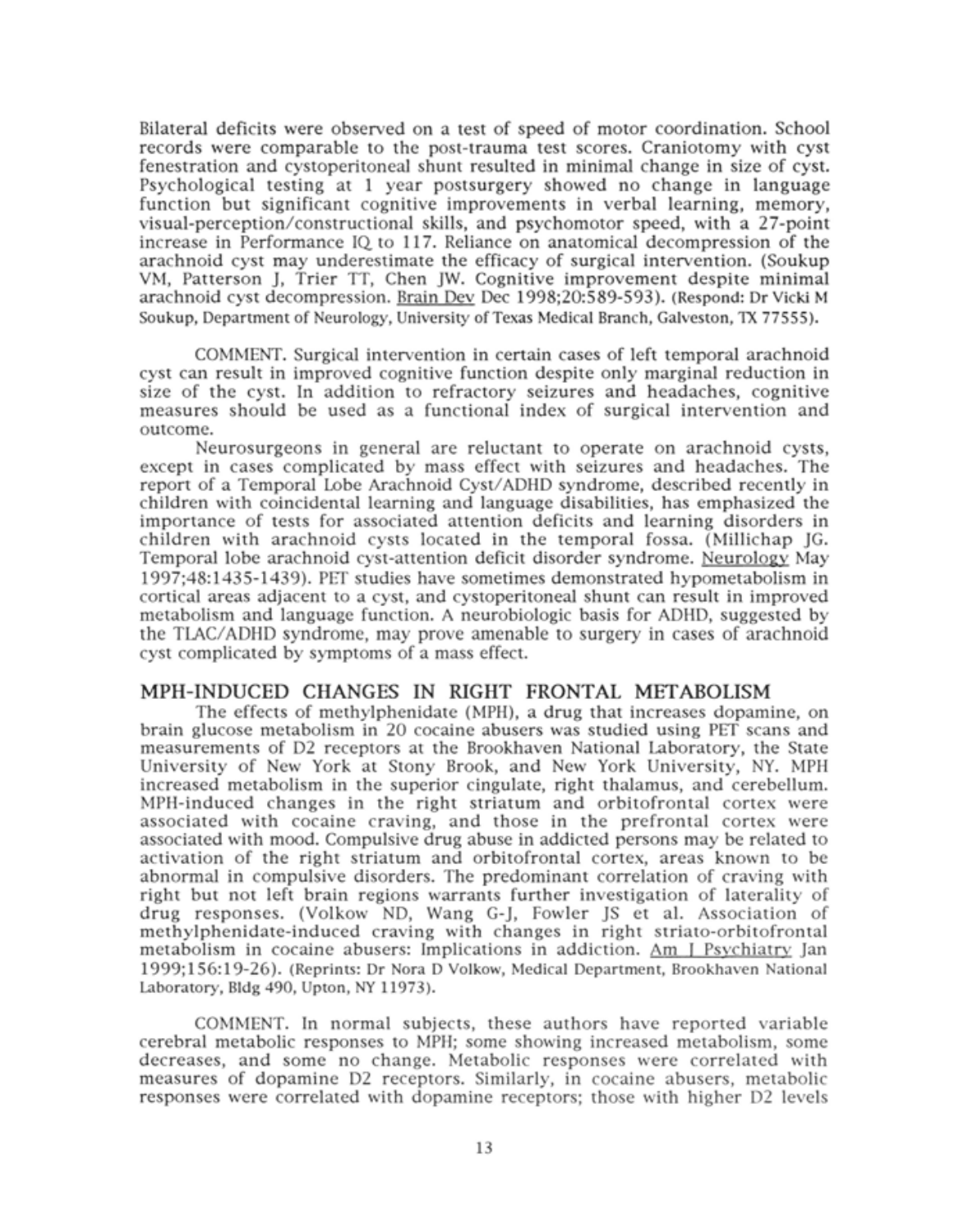Bilateral deficits were observed on <sup>a</sup> test of speed of motor coordination. School records were comparable to the post-trauma test scores. Craniotomy with cyst fenestration and cystoperitoneal shunt resulted in minimal change in size of cyst. Psychological testing at <sup>1</sup> year postsurgery showed no change in language function but significant cognitive improvements in verbal learning, memory, visual-perception/constructional skills, and psychomotor speed, with a 27-point increase in Performance IQ. to 117. Reliance on anatomical decompression of the arachnoid cyst may underestimate the efficacy of surgical intervention. (Soukup VM, Patterson J, Trier TT, Chen JW. Cognitive improvement despite minimal arachnoid cyst decompression. Brain Dev Dec 1998;20:589-593). (Respond: Dr Vicki <sup>M</sup> Soukup, Department of Neurology, University of Texas Medical Branch, Galveston, TX 77555).

COMMENT. Surgical intervention in certain cases of left temporal arachnoid cyst can result in improved cognitive function despite only marginal reduction in size of the cyst. In addition to refractory seizures and headaches, cognitive measures should be used as <sup>a</sup> functional index of surgical intervention and outcome.

Neurosurgeons in general are reluctant to operate on arachnoid cysts, except in cases complicated by mass effect with seizures and headaches. The report of a Temporal Lobe Arachnoid Cyst/ADHD syndrome, described recently in children with coincidental learning and language disabilities, has emphasized the importance of tests for associated attention deficits and learning disorders in children with arachnoid cysts located in the temporal fossa. (Millichap JG. Temporal lobe arachnoid cyst-attention deficit disorder syndrome. Neurology May 1997;48:1435-1439). PET studies have sometimes demonstrated hypometabolism in cortical areas adjacent to <sup>a</sup> cyst, and cystoperitoneal shunt can result in improved metabolism and language function. A neurobiologic basis for ADHD, suggested by the TLAC/ADHD syndrome, may prove amenable to surgery in cases of arachnoid cyst complicated by symptoms of a mass effect.

## MPH-INDUCED CHANGES IN RIGHT FRONTAL METABOLISM

The effects of methylphenidate (MPH), <sup>a</sup> drug that increases dopamine, on brain glucose metabolism in 20 cocaine abusers was studied using PET scans and measurements of D2 receptors at the Brookhaven National Laboratory, the State University of New York at Stony Brook, and New York University, NY. MPH increased metabolism in the superior cingulate, right thalamus, and cerebellum. MPH-induced changes in the right striatum and orbitofrontal cortex were associated with cocaine craving, and those in the prefrontal cortex were associated with mood. Compulsive drug abuse in addicted persons may be related to activation of the right striatum and orbitofrontal cortex, areas known to be abnormal in compulsive disorders. The predominant correlation of craving with right but not left brain regions warrants further investigation of laterality of drug responses. (Volkow ND, Wang G-J, Fowler JS et al. Association of methylphenidate-induced craving with changes in right striato-orbitofrontal metabolism in cocaine abusers: Implications in addiction. Am <sup>1</sup> Psychiatry Jan 1999;156:19-26). (Reprints: Dr Nora D Volkow, Medical Department, Brookhaven National Laboratory, Bldg 490, Upton, NY 11973).

COMMENT. In normal subjects, these authors have reported variable cerebral metabolic responses to MPH; some showing increased metabolism, some decreases, and some no change. Metabolic responses were correlated with measures of dopamine D2 receptors. Similarly, in cocaine abusers, metabolic responses were correlated with dopamine receptors; those with higher D2 levels